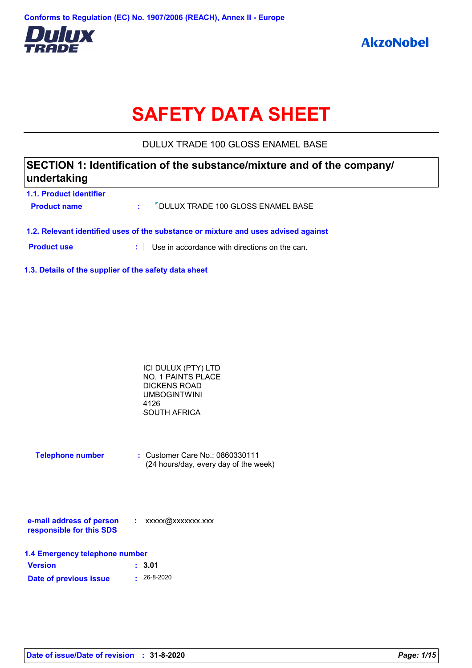

# **SAFETY DATA SHEET**

DULUX TRADE 100 GLOSS ENAMEL BASE

## **SECTION 1: Identification of the substance/mixture and of the company/ undertaking**

| <b>1.1. Product identifier</b><br><b>Product name</b> | : <sup>7</sup> DULUX TRADE 100 GLOSS ENAMEL BASE                                   |
|-------------------------------------------------------|------------------------------------------------------------------------------------|
|                                                       | 1.2. Relevant identified uses of the substance or mixture and uses advised against |
| <b>Product use</b>                                    | Use in accordance with directions on the can.                                      |

**1.3. Details of the supplier of the safety data sheet**

| ICI DULUX (PTY) LTD |  |
|---------------------|--|
| NO. 1 PAINTS PLACE  |  |
| DICKENS ROAD        |  |
| <b>UMBOGINTWINI</b> |  |
| 4126                |  |
| <b>SOUTH AFRICA</b> |  |

| <b>Telephone number</b> | $\therefore$ Customer Care No.: 0860330111 |
|-------------------------|--------------------------------------------|
|                         | (24 hours/day, every day of the week)      |

| e-mail address of person | xxxxx@xxxxxxx.xxx |
|--------------------------|-------------------|
| responsible for this SDS |                   |

| 1.4 Emergency telephone number |                   |  |
|--------------------------------|-------------------|--|
| <b>Version</b>                 | : 3.01            |  |
| Date of previous issue         | $\cdot$ 26-8-2020 |  |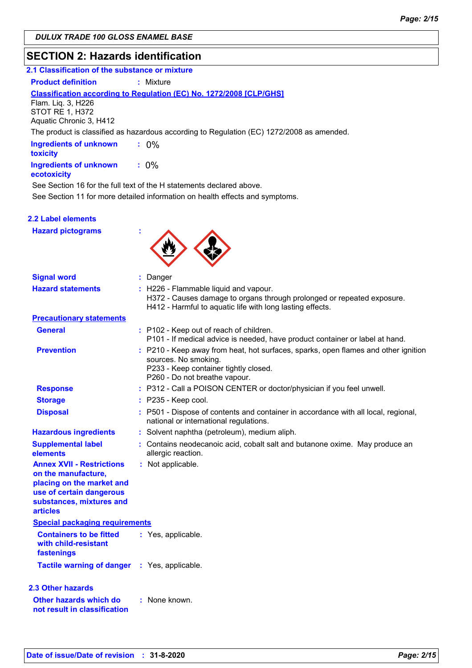### **SECTION 2: Hazards identification**

| 2.1 Classification of the substance or mixture                   |                                                                                           |
|------------------------------------------------------------------|-------------------------------------------------------------------------------------------|
| <b>Product definition</b>                                        | : Mixture                                                                                 |
| Flam. Lig. 3, H226<br>STOT RE 1, H372<br>Aquatic Chronic 3, H412 | <b>Classification according to Regulation (EC) No. 1272/2008 [CLP/GHS]</b>                |
|                                                                  | The product is classified as hazardous according to Regulation (EC) 1272/2008 as amended. |
| <b>Ingredients of unknown</b><br>toxicity                        | $: 0\%$                                                                                   |
| <b>Ingredients of unknown</b><br>ecotoxicity                     | $: 0\%$                                                                                   |

See Section 16 for the full text of the H statements declared above.

See Section 11 for more detailed information on health effects and symptoms.

### **2.2 Label elements**

**Hazard pictograms :**



| <b>Signal word</b>                                                                                                                                              | : Danger                                                                                                                                                                             |
|-----------------------------------------------------------------------------------------------------------------------------------------------------------------|--------------------------------------------------------------------------------------------------------------------------------------------------------------------------------------|
| <b>Hazard statements</b>                                                                                                                                        | : H226 - Flammable liquid and vapour.<br>H372 - Causes damage to organs through prolonged or repeated exposure.<br>H412 - Harmful to aquatic life with long lasting effects.         |
| <b>Precautionary statements</b>                                                                                                                                 |                                                                                                                                                                                      |
| <b>General</b>                                                                                                                                                  | : P102 - Keep out of reach of children.<br>P101 - If medical advice is needed, have product container or label at hand.                                                              |
| <b>Prevention</b>                                                                                                                                               | : P210 - Keep away from heat, hot surfaces, sparks, open flames and other ignition<br>sources. No smoking.<br>P233 - Keep container tightly closed.<br>P260 - Do not breathe vapour. |
| <b>Response</b>                                                                                                                                                 | : P312 - Call a POISON CENTER or doctor/physician if you feel unwell.                                                                                                                |
| <b>Storage</b>                                                                                                                                                  | $:$ P235 - Keep cool.                                                                                                                                                                |
| <b>Disposal</b>                                                                                                                                                 | : P501 - Dispose of contents and container in accordance with all local, regional,<br>national or international regulations.                                                         |
| <b>Hazardous ingredients</b>                                                                                                                                    | : Solvent naphtha (petroleum), medium aliph.                                                                                                                                         |
| <b>Supplemental label</b><br>elements                                                                                                                           | : Contains neodecanoic acid, cobalt salt and butanone oxime. May produce an<br>allergic reaction.                                                                                    |
| <b>Annex XVII - Restrictions</b><br>on the manufacture,<br>placing on the market and<br>use of certain dangerous<br>substances, mixtures and<br><b>articles</b> | : Not applicable.                                                                                                                                                                    |
| <b>Special packaging requirements</b>                                                                                                                           |                                                                                                                                                                                      |
| <b>Containers to be fitted</b><br>with child-resistant<br>fastenings                                                                                            | : Yes, applicable.                                                                                                                                                                   |
| <b>Tactile warning of danger</b>                                                                                                                                | : Yes, applicable.                                                                                                                                                                   |
| 2.3 Other hazards                                                                                                                                               |                                                                                                                                                                                      |
| Other hazards which do<br>not result in classification                                                                                                          | : None known.                                                                                                                                                                        |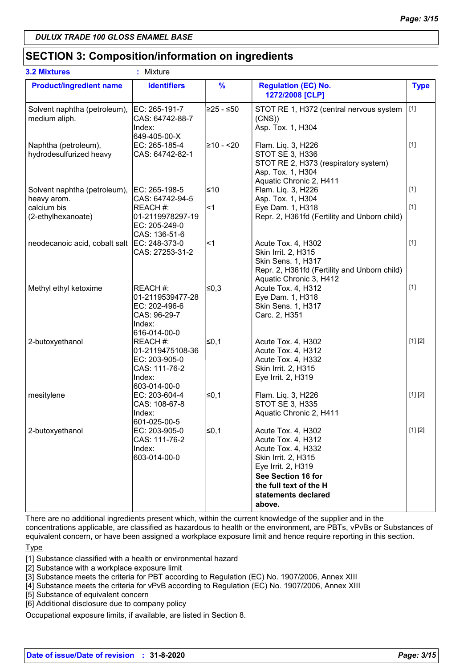### **SECTION 3: Composition/information on ingredients**

| <b>3.2 Mixtures</b>                             | ÷<br>Mixture                                                                            |               |                                                                                                                                                                                              |             |
|-------------------------------------------------|-----------------------------------------------------------------------------------------|---------------|----------------------------------------------------------------------------------------------------------------------------------------------------------------------------------------------|-------------|
| <b>Product/ingredient name</b>                  | <b>Identifiers</b>                                                                      | $\frac{9}{6}$ | <b>Regulation (EC) No.</b><br>1272/2008 [CLP]                                                                                                                                                | <b>Type</b> |
| Solvent naphtha (petroleum),<br>medium aliph.   | EC: 265-191-7<br>CAS: 64742-88-7<br>Index:<br>649-405-00-X                              | 225 - ≤50∣    | STOT RE 1, H372 (central nervous system<br>(CNS)<br>Asp. Tox. 1, H304                                                                                                                        | $[1]$       |
| Naphtha (petroleum),<br>hydrodesulfurized heavy | EC: 265-185-4<br>CAS: 64742-82-1                                                        | 210 - <20     | Flam. Liq. 3, H226<br>STOT SE 3, H336<br>STOT RE 2, H373 (respiratory system)<br>Asp. Tox. 1, H304<br>Aquatic Chronic 2, H411                                                                | $[1]$       |
| Solvent naphtha (petroleum),<br>heavy arom.     | EC: 265-198-5<br>CAS: 64742-94-5                                                        | ≤10           | Flam. Liq. 3, H226<br>Asp. Tox. 1, H304                                                                                                                                                      | $[1]$       |
| calcium bis<br>(2-ethylhexanoate)               | REACH#:<br>01-2119978297-19<br>EC: 205-249-0<br>CAS: 136-51-6                           | <1            | Eye Dam. 1, H318<br>Repr. 2, H361fd (Fertility and Unborn child)                                                                                                                             | $[1]$       |
| neodecanoic acid, cobalt salt                   | EC: 248-373-0<br>CAS: 27253-31-2                                                        | ∣<1           | Acute Tox. 4, H302<br>Skin Irrit. 2, H315<br>Skin Sens. 1, H317<br>Repr. 2, H361fd (Fertility and Unborn child)<br>Aquatic Chronic 3, H412                                                   | $[1]$       |
| Methyl ethyl ketoxime                           | REACH #:<br>01-2119539477-28<br>EC: 202-496-6<br>CAS: 96-29-7<br>Index:<br>616-014-00-0 | ≰0,3          | Acute Tox. 4, H312<br>Eye Dam. 1, H318<br>Skin Sens. 1, H317<br>Carc. 2, H351                                                                                                                | $[1]$       |
| 2-butoxyethanol                                 | REACH#:<br>01-2119475108-36<br>EC: 203-905-0<br>CAS: 111-76-2<br>Index:<br>603-014-00-0 | ≤0,1          | Acute Tox. 4, H302<br>Acute Tox. 4, H312<br>Acute Tox. 4, H332<br>Skin Irrit. 2, H315<br>Eye Irrit. 2, H319                                                                                  | [1] [2]     |
| mesitylene                                      | EC: 203-604-4<br>CAS: 108-67-8<br>Index:<br>601-025-00-5                                | $\leq 0,1$    | Flam. Liq. 3, H226<br><b>STOT SE 3, H335</b><br>Aquatic Chronic 2, H411                                                                                                                      | [1] [2]     |
| 2-butoxyethanol                                 | EC: 203-905-0<br>CAS: 111-76-2<br>Index:<br>603-014-00-0                                | $\leq 0,1$    | Acute Tox. 4, H302<br>Acute Tox. 4, H312<br>Acute Tox. 4, H332<br>Skin Irrit. 2, H315<br>Eye Irrit. 2, H319<br>See Section 16 for<br>the full text of the H<br>statements declared<br>above. | [1] [2]     |

There are no additional ingredients present which, within the current knowledge of the supplier and in the concentrations applicable, are classified as hazardous to health or the environment, are PBTs, vPvBs or Substances of equivalent concern, or have been assigned a workplace exposure limit and hence require reporting in this section.

#### **Type**

[1] Substance classified with a health or environmental hazard

[2] Substance with a workplace exposure limit

[3] Substance meets the criteria for PBT according to Regulation (EC) No. 1907/2006, Annex XIII

[4] Substance meets the criteria for vPvB according to Regulation (EC) No. 1907/2006, Annex XIII

[5] Substance of equivalent concern

[6] Additional disclosure due to company policy

Occupational exposure limits, if available, are listed in Section 8.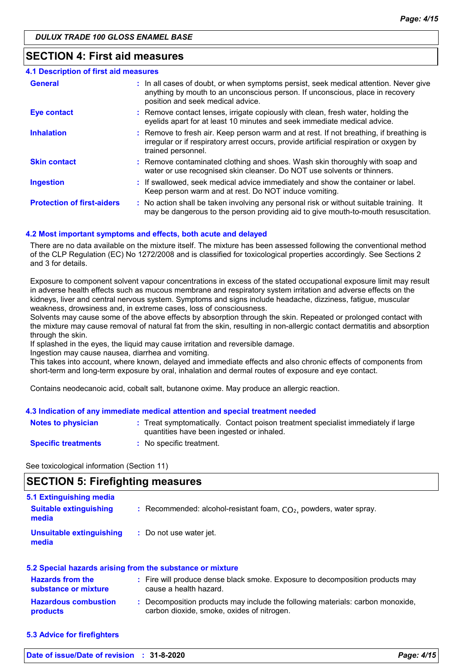### **SECTION 4: First aid measures**

| <b>4.1 Description of first aid measures</b> |                                                                                                                                                                                                             |
|----------------------------------------------|-------------------------------------------------------------------------------------------------------------------------------------------------------------------------------------------------------------|
| <b>General</b>                               | : In all cases of doubt, or when symptoms persist, seek medical attention. Never give<br>anything by mouth to an unconscious person. If unconscious, place in recovery<br>position and seek medical advice. |
| <b>Eye contact</b>                           | : Remove contact lenses, irrigate copiously with clean, fresh water, holding the<br>eyelids apart for at least 10 minutes and seek immediate medical advice.                                                |
| <b>Inhalation</b>                            | : Remove to fresh air. Keep person warm and at rest. If not breathing, if breathing is<br>irregular or if respiratory arrest occurs, provide artificial respiration or oxygen by<br>trained personnel.      |
| <b>Skin contact</b>                          | : Remove contaminated clothing and shoes. Wash skin thoroughly with soap and<br>water or use recognised skin cleanser. Do NOT use solvents or thinners.                                                     |
| <b>Ingestion</b>                             | : If swallowed, seek medical advice immediately and show the container or label.<br>Keep person warm and at rest. Do NOT induce vomiting.                                                                   |
| <b>Protection of first-aiders</b>            | : No action shall be taken involving any personal risk or without suitable training. It<br>may be dangerous to the person providing aid to give mouth-to-mouth resuscitation.                               |

#### **4.2 Most important symptoms and effects, both acute and delayed**

There are no data available on the mixture itself. The mixture has been assessed following the conventional method of the CLP Regulation (EC) No 1272/2008 and is classified for toxicological properties accordingly. See Sections 2 and 3 for details.

Exposure to component solvent vapour concentrations in excess of the stated occupational exposure limit may result in adverse health effects such as mucous membrane and respiratory system irritation and adverse effects on the kidneys, liver and central nervous system. Symptoms and signs include headache, dizziness, fatigue, muscular weakness, drowsiness and, in extreme cases, loss of consciousness.

Solvents may cause some of the above effects by absorption through the skin. Repeated or prolonged contact with the mixture may cause removal of natural fat from the skin, resulting in non-allergic contact dermatitis and absorption through the skin.

If splashed in the eyes, the liquid may cause irritation and reversible damage.

Ingestion may cause nausea, diarrhea and vomiting.

This takes into account, where known, delayed and immediate effects and also chronic effects of components from short-term and long-term exposure by oral, inhalation and dermal routes of exposure and eye contact.

Contains neodecanoic acid, cobalt salt, butanone oxime. May produce an allergic reaction.

#### **4.3 Indication of any immediate medical attention and special treatment needed**

| <b>Notes to physician</b>  | : Treat symptomatically. Contact poison treatment specialist immediately if large<br>quantities have been ingested or inhaled. |
|----------------------------|--------------------------------------------------------------------------------------------------------------------------------|
| <b>Specific treatments</b> | No specific treatment.                                                                                                         |

See toxicological information (Section 11)

### **SECTION 5: Firefighting measures**

| 5.1 Extinguishing media<br><b>Suitable extinguishing</b><br>media | : Recommended: alcohol-resistant foam, $CO2$ , powders, water spray. |
|-------------------------------------------------------------------|----------------------------------------------------------------------|
| <b>Unsuitable extinguishing</b><br>media                          | : Do not use water jet.                                              |

| 5.2 Special hazards arising from the substance or mixture |  |                                                                                                                              |
|-----------------------------------------------------------|--|------------------------------------------------------------------------------------------------------------------------------|
| <b>Hazards from the</b><br>substance or mixture           |  | : Fire will produce dense black smoke. Exposure to decomposition products may<br>cause a health hazard.                      |
| <b>Hazardous combustion</b><br>products                   |  | : Decomposition products may include the following materials: carbon monoxide,<br>carbon dioxide, smoke, oxides of nitrogen. |

**5.3 Advice for firefighters**

**Date of issue/Date of revision : 31-8-2020** *Page: 4/15*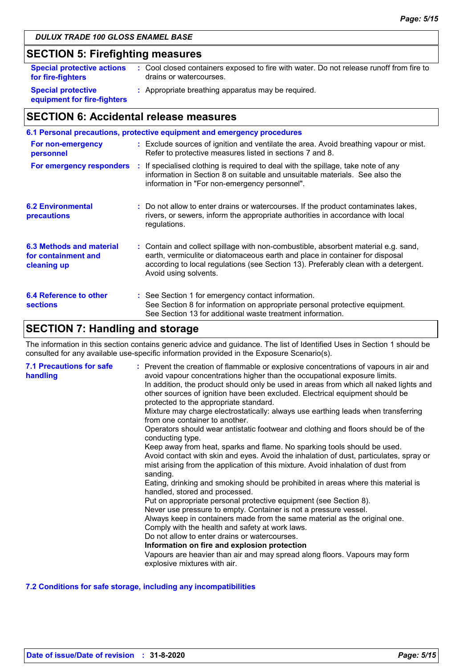### **SECTION 5: Firefighting measures**

| <b>Special protective actions</b>                        | : Cool closed containers exposed to fire with water. Do not release runoff from fire to |
|----------------------------------------------------------|-----------------------------------------------------------------------------------------|
| for fire-fighters                                        | drains or watercourses.                                                                 |
| <b>Special protective</b><br>equipment for fire-fighters | : Appropriate breathing apparatus may be required.                                      |

## **SECTION 6: Accidental release measures**

|                                                                | 6.1 Personal precautions, protective equipment and emergency procedures                                                                                                                                                                                                            |
|----------------------------------------------------------------|------------------------------------------------------------------------------------------------------------------------------------------------------------------------------------------------------------------------------------------------------------------------------------|
| For non-emergency<br>personnel                                 | : Exclude sources of ignition and ventilate the area. Avoid breathing vapour or mist.<br>Refer to protective measures listed in sections 7 and 8.                                                                                                                                  |
|                                                                | For emergency responders : If specialised clothing is required to deal with the spillage, take note of any<br>information in Section 8 on suitable and unsuitable materials. See also the<br>information in "For non-emergency personnel".                                         |
| <b>6.2 Environmental</b><br>precautions                        | : Do not allow to enter drains or watercourses. If the product contaminates lakes,<br>rivers, or sewers, inform the appropriate authorities in accordance with local<br>regulations.                                                                                               |
| 6.3 Methods and material<br>for containment and<br>cleaning up | : Contain and collect spillage with non-combustible, absorbent material e.g. sand,<br>earth, vermiculite or diatomaceous earth and place in container for disposal<br>according to local regulations (see Section 13). Preferably clean with a detergent.<br>Avoid using solvents. |
| 6.4 Reference to other<br><b>sections</b>                      | : See Section 1 for emergency contact information.<br>See Section 8 for information on appropriate personal protective equipment.<br>See Section 13 for additional waste treatment information.                                                                                    |

## **SECTION 7: Handling and storage**

The information in this section contains generic advice and guidance. The list of Identified Uses in Section 1 should be consulted for any available use-specific information provided in the Exposure Scenario(s).

| <b>7.1 Precautions for safe</b><br>handling | : Prevent the creation of flammable or explosive concentrations of vapours in air and<br>avoid vapour concentrations higher than the occupational exposure limits.<br>In addition, the product should only be used in areas from which all naked lights and<br>other sources of ignition have been excluded. Electrical equipment should be<br>protected to the appropriate standard.<br>Mixture may charge electrostatically: always use earthing leads when transferring<br>from one container to another.<br>Operators should wear antistatic footwear and clothing and floors should be of the<br>conducting type.<br>Keep away from heat, sparks and flame. No sparking tools should be used.<br>Avoid contact with skin and eyes. Avoid the inhalation of dust, particulates, spray or<br>mist arising from the application of this mixture. Avoid inhalation of dust from<br>sanding.<br>Eating, drinking and smoking should be prohibited in areas where this material is<br>handled, stored and processed.<br>Put on appropriate personal protective equipment (see Section 8).<br>Never use pressure to empty. Container is not a pressure vessel.<br>Always keep in containers made from the same material as the original one.<br>Comply with the health and safety at work laws.<br>Do not allow to enter drains or watercourses.<br>Information on fire and explosion protection<br>Vapours are heavier than air and may spread along floors. Vapours may form<br>explosive mixtures with air. |
|---------------------------------------------|--------------------------------------------------------------------------------------------------------------------------------------------------------------------------------------------------------------------------------------------------------------------------------------------------------------------------------------------------------------------------------------------------------------------------------------------------------------------------------------------------------------------------------------------------------------------------------------------------------------------------------------------------------------------------------------------------------------------------------------------------------------------------------------------------------------------------------------------------------------------------------------------------------------------------------------------------------------------------------------------------------------------------------------------------------------------------------------------------------------------------------------------------------------------------------------------------------------------------------------------------------------------------------------------------------------------------------------------------------------------------------------------------------------------------------------------------------------------------------------------------------------|
|---------------------------------------------|--------------------------------------------------------------------------------------------------------------------------------------------------------------------------------------------------------------------------------------------------------------------------------------------------------------------------------------------------------------------------------------------------------------------------------------------------------------------------------------------------------------------------------------------------------------------------------------------------------------------------------------------------------------------------------------------------------------------------------------------------------------------------------------------------------------------------------------------------------------------------------------------------------------------------------------------------------------------------------------------------------------------------------------------------------------------------------------------------------------------------------------------------------------------------------------------------------------------------------------------------------------------------------------------------------------------------------------------------------------------------------------------------------------------------------------------------------------------------------------------------------------|

### **7.2 Conditions for safe storage, including any incompatibilities**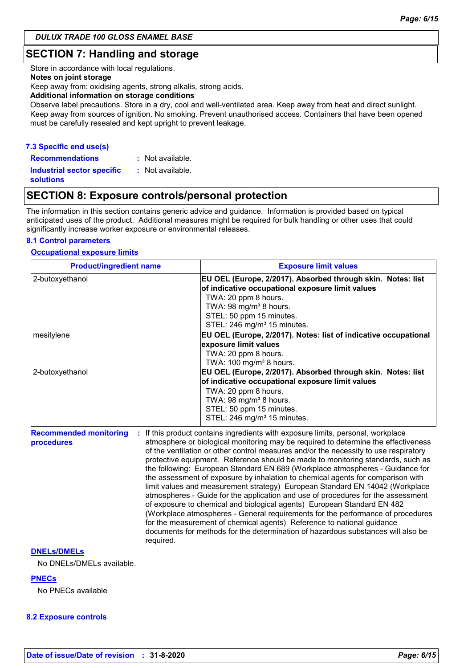### **SECTION 7: Handling and storage**

Store in accordance with local regulations.

#### **Notes on joint storage**

Keep away from: oxidising agents, strong alkalis, strong acids.

#### **Additional information on storage conditions**

Observe label precautions. Store in a dry, cool and well-ventilated area. Keep away from heat and direct sunlight. Keep away from sources of ignition. No smoking. Prevent unauthorised access. Containers that have been opened must be carefully resealed and kept upright to prevent leakage.

### **7.3 Specific end use(s)**

**Recommendations : Industrial sector specific : solutions** : Not available. : Not available.

### **SECTION 8: Exposure controls/personal protection**

The information in this section contains generic advice and guidance. Information is provided based on typical anticipated uses of the product. Additional measures might be required for bulk handling or other uses that could significantly increase worker exposure or environmental releases.

#### **8.1 Control parameters**

#### **Occupational exposure limits**

| <b>Product/ingredient name</b>                           | <b>Exposure limit values</b>                                                                                                                                                                                                                                                                                                                                                                                                                                                                                                                                                                                                                                                                                                                                                                                                                                                                                                                                                                                        |  |  |  |
|----------------------------------------------------------|---------------------------------------------------------------------------------------------------------------------------------------------------------------------------------------------------------------------------------------------------------------------------------------------------------------------------------------------------------------------------------------------------------------------------------------------------------------------------------------------------------------------------------------------------------------------------------------------------------------------------------------------------------------------------------------------------------------------------------------------------------------------------------------------------------------------------------------------------------------------------------------------------------------------------------------------------------------------------------------------------------------------|--|--|--|
| 2-butoxyethanol                                          | EU OEL (Europe, 2/2017). Absorbed through skin. Notes: list<br>of indicative occupational exposure limit values<br>TWA: 20 ppm 8 hours.<br>TWA: 98 mg/m <sup>3</sup> 8 hours.<br>STEL: 50 ppm 15 minutes.<br>STEL: 246 mg/m <sup>3</sup> 15 minutes.                                                                                                                                                                                                                                                                                                                                                                                                                                                                                                                                                                                                                                                                                                                                                                |  |  |  |
| mesitylene                                               | EU OEL (Europe, 2/2017). Notes: list of indicative occupational<br>exposure limit values<br>TWA: 20 ppm 8 hours.<br>TWA: 100 mg/m <sup>3</sup> 8 hours.                                                                                                                                                                                                                                                                                                                                                                                                                                                                                                                                                                                                                                                                                                                                                                                                                                                             |  |  |  |
| 2-butoxyethanol                                          | EU OEL (Europe, 2/2017). Absorbed through skin. Notes: list<br>of indicative occupational exposure limit values<br>TWA: 20 ppm 8 hours.<br>TWA: 98 mg/m <sup>3</sup> 8 hours.<br>STEL: 50 ppm 15 minutes.<br>STEL: 246 mg/m <sup>3</sup> 15 minutes.                                                                                                                                                                                                                                                                                                                                                                                                                                                                                                                                                                                                                                                                                                                                                                |  |  |  |
| <b>Recommended monitoring</b><br>procedures<br>required. | If this product contains ingredients with exposure limits, personal, workplace<br>atmosphere or biological monitoring may be required to determine the effectiveness<br>of the ventilation or other control measures and/or the necessity to use respiratory<br>protective equipment. Reference should be made to monitoring standards, such as<br>the following: European Standard EN 689 (Workplace atmospheres - Guidance for<br>the assessment of exposure by inhalation to chemical agents for comparison with<br>limit values and measurement strategy) European Standard EN 14042 (Workplace<br>atmospheres - Guide for the application and use of procedures for the assessment<br>of exposure to chemical and biological agents) European Standard EN 482<br>(Workplace atmospheres - General requirements for the performance of procedures<br>for the measurement of chemical agents) Reference to national guidance<br>documents for methods for the determination of hazardous substances will also be |  |  |  |

#### **DNELs/DMELs**

No DNELs/DMELs available.

#### **PNECs**

No PNECs available

#### **8.2 Exposure controls**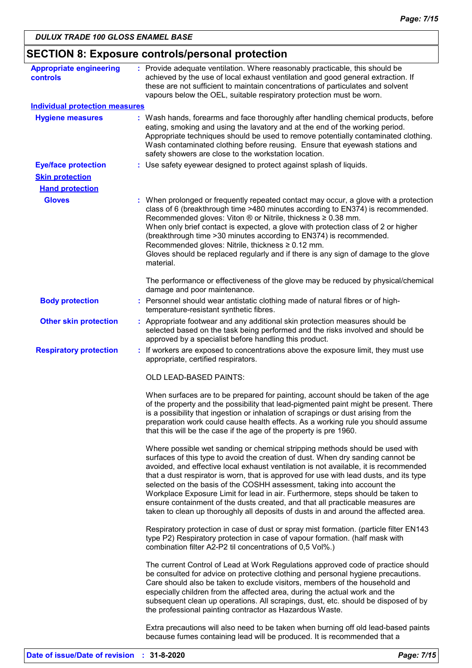| <b>Appropriate engineering</b>        | : Provide adequate ventilation. Where reasonably practicable, this should be                                                                                                                                                                                                                                                                                                                                                                                                                                                                                                                                                                                                            |
|---------------------------------------|-----------------------------------------------------------------------------------------------------------------------------------------------------------------------------------------------------------------------------------------------------------------------------------------------------------------------------------------------------------------------------------------------------------------------------------------------------------------------------------------------------------------------------------------------------------------------------------------------------------------------------------------------------------------------------------------|
| controls                              | achieved by the use of local exhaust ventilation and good general extraction. If<br>these are not sufficient to maintain concentrations of particulates and solvent<br>vapours below the OEL, suitable respiratory protection must be worn.                                                                                                                                                                                                                                                                                                                                                                                                                                             |
| <b>Individual protection measures</b> |                                                                                                                                                                                                                                                                                                                                                                                                                                                                                                                                                                                                                                                                                         |
| <b>Hygiene measures</b>               | : Wash hands, forearms and face thoroughly after handling chemical products, before<br>eating, smoking and using the lavatory and at the end of the working period.<br>Appropriate techniques should be used to remove potentially contaminated clothing.<br>Wash contaminated clothing before reusing. Ensure that eyewash stations and<br>safety showers are close to the workstation location.                                                                                                                                                                                                                                                                                       |
| <b>Eye/face protection</b>            | : Use safety eyewear designed to protect against splash of liquids.                                                                                                                                                                                                                                                                                                                                                                                                                                                                                                                                                                                                                     |
| <b>Skin protection</b>                |                                                                                                                                                                                                                                                                                                                                                                                                                                                                                                                                                                                                                                                                                         |
| <b>Hand protection</b>                |                                                                                                                                                                                                                                                                                                                                                                                                                                                                                                                                                                                                                                                                                         |
| <b>Gloves</b>                         | : When prolonged or frequently repeated contact may occur, a glove with a protection<br>class of 6 (breakthrough time >480 minutes according to EN374) is recommended.<br>Recommended gloves: Viton ® or Nitrile, thickness ≥ 0.38 mm.<br>When only brief contact is expected, a glove with protection class of 2 or higher<br>(breakthrough time > 30 minutes according to EN374) is recommended.<br>Recommended gloves: Nitrile, thickness ≥ 0.12 mm.<br>Gloves should be replaced regularly and if there is any sign of damage to the glove<br>material.                                                                                                                             |
|                                       | The performance or effectiveness of the glove may be reduced by physical/chemical<br>damage and poor maintenance.                                                                                                                                                                                                                                                                                                                                                                                                                                                                                                                                                                       |
| <b>Body protection</b>                | : Personnel should wear antistatic clothing made of natural fibres or of high-<br>temperature-resistant synthetic fibres.                                                                                                                                                                                                                                                                                                                                                                                                                                                                                                                                                               |
| <b>Other skin protection</b>          | : Appropriate footwear and any additional skin protection measures should be<br>selected based on the task being performed and the risks involved and should be<br>approved by a specialist before handling this product.                                                                                                                                                                                                                                                                                                                                                                                                                                                               |
| <b>Respiratory protection</b>         | : If workers are exposed to concentrations above the exposure limit, they must use<br>appropriate, certified respirators.                                                                                                                                                                                                                                                                                                                                                                                                                                                                                                                                                               |
|                                       | OLD LEAD-BASED PAINTS:                                                                                                                                                                                                                                                                                                                                                                                                                                                                                                                                                                                                                                                                  |
|                                       | When surfaces are to be prepared for painting, account should be taken of the age<br>of the property and the possibility that lead-pigmented paint might be present. There<br>is a possibility that ingestion or inhalation of scrapings or dust arising from the<br>preparation work could cause health effects. As a working rule you should assume<br>that this will be the case if the age of the property is pre 1960.                                                                                                                                                                                                                                                             |
|                                       | Where possible wet sanding or chemical stripping methods should be used with<br>surfaces of this type to avoid the creation of dust. When dry sanding cannot be<br>avoided, and effective local exhaust ventilation is not available, it is recommended<br>that a dust respirator is worn, that is approved for use with lead dusts, and its type<br>selected on the basis of the COSHH assessment, taking into account the<br>Workplace Exposure Limit for lead in air. Furthermore, steps should be taken to<br>ensure containment of the dusts created, and that all practicable measures are<br>taken to clean up thoroughly all deposits of dusts in and around the affected area. |
|                                       | Respiratory protection in case of dust or spray mist formation. (particle filter EN143<br>type P2) Respiratory protection in case of vapour formation. (half mask with<br>combination filter A2-P2 til concentrations of 0,5 Vol%.)                                                                                                                                                                                                                                                                                                                                                                                                                                                     |
|                                       | The current Control of Lead at Work Regulations approved code of practice should<br>be consulted for advice on protective clothing and personal hygiene precautions.<br>Care should also be taken to exclude visitors, members of the household and<br>especially children from the affected area, during the actual work and the<br>subsequent clean up operations. All scrapings, dust, etc. should be disposed of by<br>the professional painting contractor as Hazardous Waste.                                                                                                                                                                                                     |
|                                       | Extra precautions will also need to be taken when burning off old lead-based paints<br>because fumes containing lead will be produced. It is recommended that a                                                                                                                                                                                                                                                                                                                                                                                                                                                                                                                         |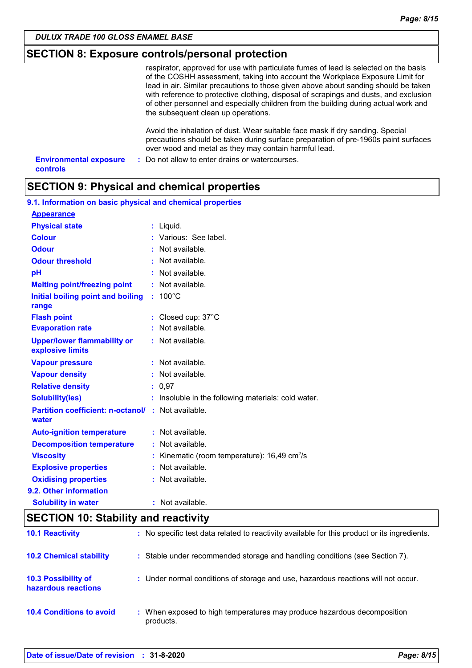### **SECTION 8: Exposure controls/personal protection**

|                                           | respirator, approved for use with particulate fumes of lead is selected on the basis<br>of the COSHH assessment, taking into account the Workplace Exposure Limit for<br>lead in air. Similar precautions to those given above about sanding should be taken<br>with reference to protective clothing, disposal of scrapings and dusts, and exclusion<br>of other personnel and especially children from the building during actual work and<br>the subsequent clean up operations. |  |
|-------------------------------------------|-------------------------------------------------------------------------------------------------------------------------------------------------------------------------------------------------------------------------------------------------------------------------------------------------------------------------------------------------------------------------------------------------------------------------------------------------------------------------------------|--|
|                                           | Avoid the inhalation of dust. Wear suitable face mask if dry sanding. Special<br>precautions should be taken during surface preparation of pre-1960s paint surfaces<br>over wood and metal as they may contain harmful lead.                                                                                                                                                                                                                                                        |  |
| <b>Environmental exposure</b><br>controls | : Do not allow to enter drains or watercourses.                                                                                                                                                                                                                                                                                                                                                                                                                                     |  |

### **SECTION 9: Physical and chemical properties**

| 9.1. Information on basic physical and chemical properties         |   |                                                        |
|--------------------------------------------------------------------|---|--------------------------------------------------------|
| <b>Appearance</b>                                                  |   |                                                        |
| <b>Physical state</b>                                              |   | $:$ Liquid.                                            |
| <b>Colour</b>                                                      |   | Various: See label.                                    |
| <b>Odour</b>                                                       |   | : Not available.                                       |
| <b>Odour threshold</b>                                             |   | : Not available.                                       |
| pH                                                                 |   | : Not available.                                       |
| <b>Melting point/freezing point</b>                                |   | : Not available.                                       |
| Initial boiling point and boiling<br>range                         |   | $: 100^{\circ}$ C                                      |
| <b>Flash point</b>                                                 |   | : Closed cup: $37^{\circ}$ C                           |
| <b>Evaporation rate</b>                                            |   | Not available.                                         |
| <b>Upper/lower flammability or</b><br>explosive limits             |   | : Not available.                                       |
| <b>Vapour pressure</b>                                             |   | : Not available.                                       |
| <b>Vapour density</b>                                              |   | : Not available.                                       |
| <b>Relative density</b>                                            |   | : 0.97                                                 |
| <b>Solubility(ies)</b>                                             |   | : Insoluble in the following materials: cold water.    |
| <b>Partition coefficient: n-octanol/ : Not available.</b><br>water |   |                                                        |
| <b>Auto-ignition temperature</b>                                   |   | : Not available.                                       |
| <b>Decomposition temperature</b>                                   |   | : Not available.                                       |
| <b>Viscosity</b>                                                   |   | Kinematic (room temperature): 16,49 cm <sup>2</sup> /s |
| <b>Explosive properties</b>                                        | ÷ | Not available.                                         |
| <b>Oxidising properties</b>                                        |   | : Not available.                                       |
| 9.2. Other information                                             |   |                                                        |
| <b>Solubility in water</b>                                         |   | : Not available.                                       |

| <b>SECTION 10: Stability and reactivity</b>       |                                                                                              |  |  |  |
|---------------------------------------------------|----------------------------------------------------------------------------------------------|--|--|--|
| <b>10.1 Reactivity</b>                            | : No specific test data related to reactivity available for this product or its ingredients. |  |  |  |
| <b>10.2 Chemical stability</b>                    | : Stable under recommended storage and handling conditions (see Section 7).                  |  |  |  |
| <b>10.3 Possibility of</b><br>hazardous reactions | : Under normal conditions of storage and use, hazardous reactions will not occur.            |  |  |  |
| <b>10.4 Conditions to avoid</b>                   | : When exposed to high temperatures may produce hazardous decomposition<br>products.         |  |  |  |

### **Date of issue/Date of revision : 31-8-2020** *Page: 8/15*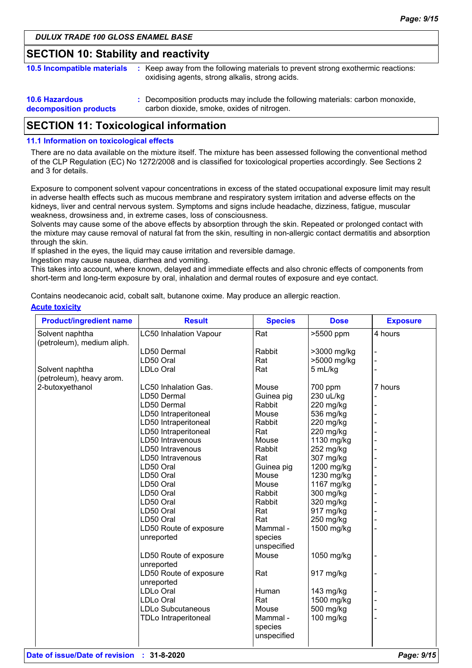### **SECTION 10: Stability and reactivity**

| 10.5 Incompatible materials                     | Keep away from the following materials to prevent strong exothermic reactions:<br>oxidising agents, strong alkalis, strong acids. |
|-------------------------------------------------|-----------------------------------------------------------------------------------------------------------------------------------|
| <b>10.6 Hazardous</b><br>decomposition products | : Decomposition products may include the following materials: carbon monoxide,<br>carbon dioxide, smoke, oxides of nitrogen.      |

### **SECTION 11: Toxicological information**

#### **11.1 Information on toxicological effects**

There are no data available on the mixture itself. The mixture has been assessed following the conventional method of the CLP Regulation (EC) No 1272/2008 and is classified for toxicological properties accordingly. See Sections 2 and 3 for details.

Exposure to component solvent vapour concentrations in excess of the stated occupational exposure limit may result in adverse health effects such as mucous membrane and respiratory system irritation and adverse effects on the kidneys, liver and central nervous system. Symptoms and signs include headache, dizziness, fatigue, muscular weakness, drowsiness and, in extreme cases, loss of consciousness.

Solvents may cause some of the above effects by absorption through the skin. Repeated or prolonged contact with the mixture may cause removal of natural fat from the skin, resulting in non-allergic contact dermatitis and absorption through the skin.

If splashed in the eyes, the liquid may cause irritation and reversible damage.

Ingestion may cause nausea, diarrhea and vomiting.

This takes into account, where known, delayed and immediate effects and also chronic effects of components from short-term and long-term exposure by oral, inhalation and dermal routes of exposure and eye contact.

Contains neodecanoic acid, cobalt salt, butanone oxime. May produce an allergic reaction.

#### **Acute toxicity**

| <b>Product/ingredient name</b> | <b>Result</b>                 | <b>Species</b>         | <b>Dose</b> | <b>Exposure</b> |
|--------------------------------|-------------------------------|------------------------|-------------|-----------------|
| Solvent naphtha                | <b>LC50 Inhalation Vapour</b> | Rat                    | >5500 ppm   | 4 hours         |
| (petroleum), medium aliph.     |                               |                        |             |                 |
|                                | LD50 Dermal                   | Rabbit                 | >3000 mg/kg |                 |
|                                | LD50 Oral                     | Rat                    | >5000 mg/kg |                 |
| Solvent naphtha                | <b>LDLo Oral</b>              | Rat                    | 5 mL/kg     |                 |
| (petroleum), heavy arom.       |                               |                        |             |                 |
| 2-butoxyethanol                | LC50 Inhalation Gas.          | Mouse                  | 700 ppm     | 7 hours         |
|                                | LD50 Dermal                   | Guinea pig             | 230 uL/kg   |                 |
|                                | LD50 Dermal                   | Rabbit                 | $220$ mg/kg |                 |
|                                | LD50 Intraperitoneal          | Mouse                  | 536 mg/kg   |                 |
|                                | LD50 Intraperitoneal          | Rabbit                 | 220 mg/kg   |                 |
|                                | LD50 Intraperitoneal          | Rat                    | 220 mg/kg   |                 |
|                                | LD50 Intravenous              | Mouse                  | 1130 mg/kg  |                 |
|                                | LD50 Intravenous              | Rabbit                 | 252 mg/kg   |                 |
|                                | LD50 Intravenous              | Rat                    | 307 mg/kg   |                 |
|                                | LD50 Oral                     | Guinea pig             | 1200 mg/kg  |                 |
|                                | LD50 Oral                     | Mouse                  | 1230 mg/kg  |                 |
|                                | LD50 Oral                     | Mouse                  | 1167 mg/kg  |                 |
|                                | LD50 Oral                     | Rabbit                 | 300 mg/kg   |                 |
|                                | LD50 Oral                     | Rabbit                 | 320 mg/kg   |                 |
|                                | LD50 Oral                     | Rat                    | 917 mg/kg   |                 |
|                                | LD50 Oral                     | Rat                    | 250 mg/kg   |                 |
|                                | LD50 Route of exposure        | Mammal -               | 1500 mg/kg  |                 |
|                                | unreported                    | species                |             |                 |
|                                |                               | unspecified            |             |                 |
|                                | LD50 Route of exposure        | Mouse                  | 1050 mg/kg  |                 |
|                                | unreported                    |                        |             |                 |
|                                | LD50 Route of exposure        | Rat                    | 917 mg/kg   |                 |
|                                | unreported                    |                        |             |                 |
|                                | LDLo Oral                     | Human                  | 143 mg/kg   |                 |
|                                | <b>LDLo Oral</b>              | Rat                    | 1500 mg/kg  |                 |
|                                | <b>LDLo Subcutaneous</b>      | Mouse                  | 500 mg/kg   |                 |
|                                | <b>TDLo Intraperitoneal</b>   | Mammal -               | 100 mg/kg   |                 |
|                                |                               | species<br>unspecified |             |                 |
|                                |                               |                        |             |                 |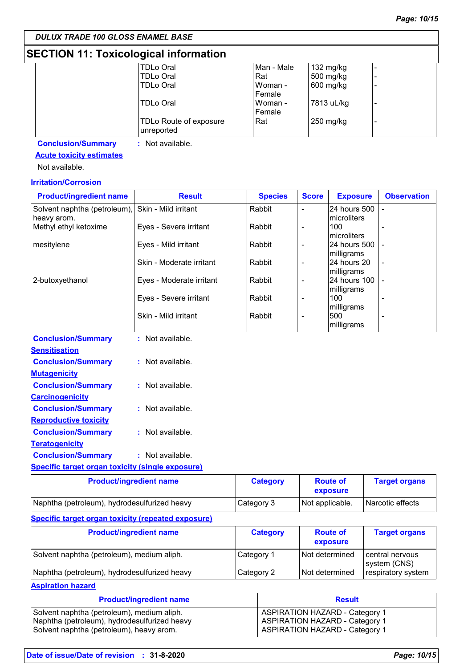## **SECTION 11: Toxicological information**

| <b>TDLo Oral</b>                     | Man - Male | 132 mg/kg  |   |
|--------------------------------------|------------|------------|---|
| <b>TDLo Oral</b>                     | Rat        | 500 mg/kg  |   |
| <b>TDLo Oral</b>                     | Woman -    | 600 mg/kg  | ۰ |
|                                      | Female     |            |   |
| TDLo Oral                            | Woman -    | 7813 uL/kg | ٠ |
|                                      | Female     |            |   |
| TDLo Route of exposure<br>unreported | Rat        | 250 mg/kg  | ٠ |
|                                      |            |            |   |

**Conclusion/Summary :** Not available.

### **Acute toxicity estimates**

Not available.

### **Irritation/Corrosion**

| <b>Product/ingredient name</b>                          | <b>Result</b>            | <b>Species</b>  | <b>Score</b>             | <b>Exposure</b>             | <b>Observation</b>   |
|---------------------------------------------------------|--------------------------|-----------------|--------------------------|-----------------------------|----------------------|
| Solvent naphtha (petroleum),<br>heavy arom.             | Skin - Mild irritant     | Rabbit          | $\overline{\phantom{0}}$ | 24 hours 500<br>microliters |                      |
| Methyl ethyl ketoxime                                   | Eyes - Severe irritant   | Rabbit          | $\overline{\phantom{0}}$ | 100<br>microliters          |                      |
| mesitylene                                              | Eyes - Mild irritant     | Rabbit          | -                        | 24 hours 500<br>milligrams  |                      |
|                                                         | Skin - Moderate irritant | Rabbit          | -                        | 24 hours 20<br>milligrams   |                      |
| 2-butoxyethanol                                         | Eyes - Moderate irritant | Rabbit          | $\overline{\phantom{0}}$ | 24 hours 100<br>milligrams  |                      |
|                                                         | Eyes - Severe irritant   | Rabbit          | $\overline{\phantom{0}}$ | 100<br>milligrams           |                      |
|                                                         | Skin - Mild irritant     | Rabbit          | $\overline{a}$           | 500<br>milligrams           |                      |
| <b>Conclusion/Summary</b>                               | : Not available.         |                 |                          |                             |                      |
| <b>Sensitisation</b>                                    |                          |                 |                          |                             |                      |
| <b>Conclusion/Summary</b>                               | : Not available.         |                 |                          |                             |                      |
| <b>Mutagenicity</b>                                     |                          |                 |                          |                             |                      |
| <b>Conclusion/Summary</b>                               | : Not available.         |                 |                          |                             |                      |
| <b>Carcinogenicity</b>                                  |                          |                 |                          |                             |                      |
| <b>Conclusion/Summary</b>                               | : Not available.         |                 |                          |                             |                      |
| <b>Reproductive toxicity</b>                            |                          |                 |                          |                             |                      |
| <b>Conclusion/Summary</b>                               | : Not available.         |                 |                          |                             |                      |
| <b>Teratogenicity</b>                                   |                          |                 |                          |                             |                      |
| <b>Conclusion/Summary</b>                               | : Not available.         |                 |                          |                             |                      |
| <b>Specific target organ toxicity (single exposure)</b> |                          |                 |                          |                             |                      |
| <b>Product/ingredient name</b>                          |                          | <b>Category</b> |                          | <b>Route of</b>             | <b>Target organs</b> |

| <b>El Queu de la concente de la concente de la concente de la concente de la concente de la concente d</b> | <b>Valcyol V</b> | <b>INVULG VI</b><br>exposure | Taryot Vigano    |
|------------------------------------------------------------------------------------------------------------|------------------|------------------------------|------------------|
| Naphtha (petroleum), hydrodesulfurized heavy                                                               | Category 3       | Not applicable.              | Narcotic effects |
|                                                                                                            |                  |                              |                  |

#### **Specific target organ toxicity (repeated exposure)**

| <b>Product/ingredient name</b>               | <b>Category</b> | <b>Route of</b><br>exposure | <b>Target organs</b>            |
|----------------------------------------------|-----------------|-----------------------------|---------------------------------|
| Solvent naphtha (petroleum), medium aliph.   | Category 1      | Not determined              | central nervous<br>system (CNS) |
| Naphtha (petroleum), hydrodesulfurized heavy | Category 2      | Not determined              | respiratory system              |

**Aspiration hazard**

| <b>Product/ingredient name</b>               | <b>Result</b>                         |
|----------------------------------------------|---------------------------------------|
| Solvent naphtha (petroleum), medium aliph.   | <b>ASPIRATION HAZARD - Category 1</b> |
| Naphtha (petroleum), hydrodesulfurized heavy | <b>ASPIRATION HAZARD - Category 1</b> |
| Solvent naphtha (petroleum), heavy arom.     | <b>ASPIRATION HAZARD - Category 1</b> |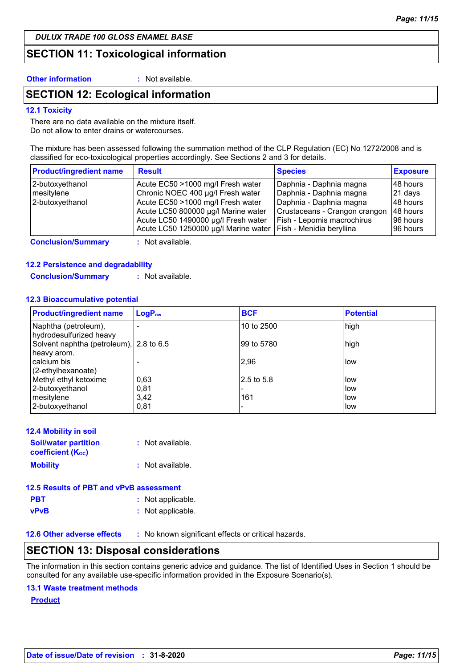*DULUX TRADE 100 GLOSS ENAMEL BASE*

### **SECTION 11: Toxicological information**

**Other information :** Not available.

### **SECTION 12: Ecological information**

#### **12.1 Toxicity**

There are no data available on the mixture itself. Do not allow to enter drains or watercourses.

The mixture has been assessed following the summation method of the CLP Regulation (EC) No 1272/2008 and is classified for eco-toxicological properties accordingly. See Sections 2 and 3 for details.

| <b>Product/ingredient name</b> | <b>Result</b>                        | <b>Species</b>                | <b>Exposure</b> |
|--------------------------------|--------------------------------------|-------------------------------|-----------------|
| 2-butoxyethanol                | Acute EC50 >1000 mg/l Fresh water    | Daphnia - Daphnia magna       | 148 hours       |
| mesitylene                     | Chronic NOEC 400 µg/l Fresh water    | Daphnia - Daphnia magna       | $ 21$ days      |
| 2-butoxyethanol                | Acute EC50 >1000 mg/l Fresh water    | Daphnia - Daphnia magna       | 148 hours       |
|                                | Acute LC50 800000 µg/l Marine water  | Crustaceans - Crangon crangon | 48 hours        |
|                                | Acute LC50 1490000 µg/l Fresh water  | Fish - Lepomis macrochirus    | 196 hours       |
|                                | Acute LC50 1250000 µg/l Marine water | Fish - Menidia beryllina      | 96 hours        |

**Conclusion/Summary :** Not available.

#### **12.2 Persistence and degradability**

**Conclusion/Summary :** Not available.

#### **12.3 Bioaccumulative potential**

| <b>Product/ingredient name</b>                         | LogP <sub>ow</sub> | <b>BCF</b>  | <b>Potential</b> |
|--------------------------------------------------------|--------------------|-------------|------------------|
| Naphtha (petroleum),<br>hydrodesulfurized heavy        |                    | 10 to 2500  | high             |
| Solvent naphtha (petroleum), 2.8 to 6.5<br>heavy arom. |                    | 99 to 5780  | high             |
| calcium bis<br>(2-ethylhexanoate)                      |                    | 2,96        | low              |
| Methyl ethyl ketoxime                                  | 0,63               | l2.5 to 5.8 | low              |
| 2-butoxyethanol                                        | 0,81               |             | low              |
| mesitylene                                             | 3,42               | 161         | low              |
| 2-butoxyethanol                                        | 0,81               |             | low              |

| <b>12.4 Mobility in soil</b>                            |                  |
|---------------------------------------------------------|------------------|
| <b>Soil/water partition</b><br><b>coefficient (Koc)</b> | : Not available. |
| <b>Mobility</b>                                         | : Not available. |

| 12.5 Results of PBT and vPvB assessment |                   |  |
|-----------------------------------------|-------------------|--|
| <b>PBT</b>                              | : Not applicable. |  |
| vPvB                                    | : Not applicable. |  |

**12.6 Other adverse effects** : No known significant effects or critical hazards.

### **SECTION 13: Disposal considerations**

The information in this section contains generic advice and guidance. The list of Identified Uses in Section 1 should be consulted for any available use-specific information provided in the Exposure Scenario(s).

#### **13.1 Waste treatment methods**

**Product**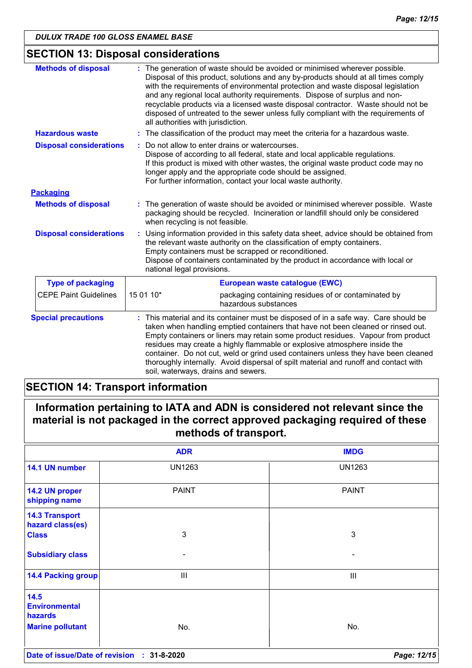## **SECTION 13: Disposal considerations**

| <b>Methods of disposal</b>     | : The generation of waste should be avoided or minimised wherever possible.<br>all authorities with jurisdiction.                                            | Disposal of this product, solutions and any by-products should at all times comply<br>with the requirements of environmental protection and waste disposal legislation<br>and any regional local authority requirements. Dispose of surplus and non-<br>recyclable products via a licensed waste disposal contractor. Waste should not be<br>disposed of untreated to the sewer unless fully compliant with the requirements of                                                                                      |  |
|--------------------------------|--------------------------------------------------------------------------------------------------------------------------------------------------------------|----------------------------------------------------------------------------------------------------------------------------------------------------------------------------------------------------------------------------------------------------------------------------------------------------------------------------------------------------------------------------------------------------------------------------------------------------------------------------------------------------------------------|--|
| <b>Hazardous waste</b>         |                                                                                                                                                              | : The classification of the product may meet the criteria for a hazardous waste.                                                                                                                                                                                                                                                                                                                                                                                                                                     |  |
| <b>Disposal considerations</b> |                                                                                                                                                              | Do not allow to enter drains or watercourses.<br>Dispose of according to all federal, state and local applicable regulations.<br>If this product is mixed with other wastes, the original waste product code may no<br>longer apply and the appropriate code should be assigned.<br>For further information, contact your local waste authority.                                                                                                                                                                     |  |
| <b>Packaging</b>               |                                                                                                                                                              |                                                                                                                                                                                                                                                                                                                                                                                                                                                                                                                      |  |
| <b>Methods of disposal</b>     | when recycling is not feasible.                                                                                                                              | : The generation of waste should be avoided or minimised wherever possible. Waste<br>packaging should be recycled. Incineration or landfill should only be considered                                                                                                                                                                                                                                                                                                                                                |  |
| <b>Disposal considerations</b> | the relevant waste authority on the classification of empty containers.<br>Empty containers must be scrapped or reconditioned.<br>national legal provisions. | Using information provided in this safety data sheet, advice should be obtained from<br>Dispose of containers contaminated by the product in accordance with local or                                                                                                                                                                                                                                                                                                                                                |  |
| <b>Type of packaging</b>       |                                                                                                                                                              | European waste catalogue (EWC)                                                                                                                                                                                                                                                                                                                                                                                                                                                                                       |  |
| <b>CEPE Paint Guidelines</b>   | 15 01 10*<br>hazardous substances                                                                                                                            | packaging containing residues of or contaminated by                                                                                                                                                                                                                                                                                                                                                                                                                                                                  |  |
| <b>Special precautions</b>     | soil, waterways, drains and sewers.                                                                                                                          | This material and its container must be disposed of in a safe way. Care should be<br>taken when handling emptied containers that have not been cleaned or rinsed out.<br>Empty containers or liners may retain some product residues. Vapour from product<br>residues may create a highly flammable or explosive atmosphere inside the<br>container. Do not cut, weld or grind used containers unless they have been cleaned<br>thoroughly internally. Avoid dispersal of spilt material and runoff and contact with |  |

## **SECTION 14: Transport information**

| Information pertaining to IATA and ADN is considered not relevant since the  |  |
|------------------------------------------------------------------------------|--|
| material is not packaged in the correct approved packaging required of these |  |
| methods of transport.                                                        |  |

|                                            | <b>ADR</b>               | <b>IMDG</b>              |
|--------------------------------------------|--------------------------|--------------------------|
| 14.1 UN number                             | <b>UN1263</b>            | <b>UN1263</b>            |
| 14.2 UN proper<br>shipping name            | <b>PAINT</b>             | <b>PAINT</b>             |
| <b>14.3 Transport</b><br>hazard class(es)  |                          |                          |
| <b>Class</b>                               | 3                        | $\mathbf{3}$             |
| <b>Subsidiary class</b>                    | $\overline{\phantom{a}}$ | $\overline{\phantom{0}}$ |
| <b>14.4 Packing group</b>                  | III                      | Ш                        |
| 14.5<br><b>Environmental</b><br>hazards    |                          |                          |
| <b>Marine pollutant</b>                    | No.                      | No.                      |
| Date of issue/Date of revision : 31-8-2020 |                          | Page: 12/15              |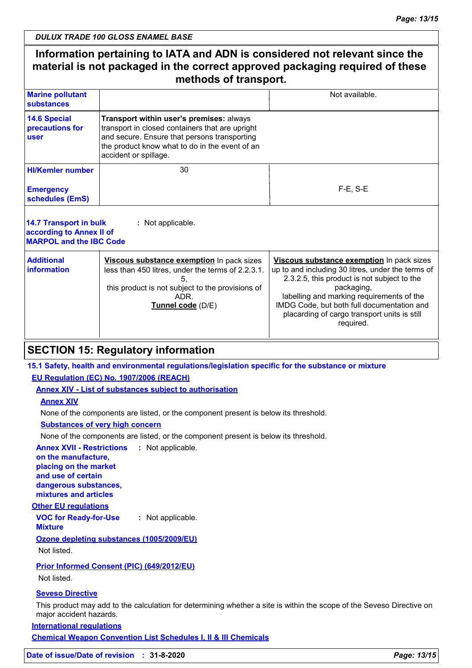*DULUX TRADE 100 GLOSS ENAMEL BASE*

### **Information pertaining to IATA and ADN is considered not relevant since the material is not packaged in the correct approved packaging required of these methods of transport.**

| <b>Marine pollutant</b><br>substances          |                                                                                                                                                                                                                        | Not available. |
|------------------------------------------------|------------------------------------------------------------------------------------------------------------------------------------------------------------------------------------------------------------------------|----------------|
| 14.6 Special<br>precautions for<br><b>user</b> | Transport within user's premises: always<br>transport in closed containers that are upright<br>and secure. Ensure that persons transporting<br>the product know what to do in the event of an<br>accident or spillage. |                |
| <b>HI/Kemler number</b>                        | 30                                                                                                                                                                                                                     |                |
| <b>Emergency</b><br>schedules (EmS)            |                                                                                                                                                                                                                        | $F-E. S-E$     |
|                                                |                                                                                                                                                                                                                        |                |

| 14.7 Transport in bulk<br>according to Annex II of<br><b>MARPOL and the IBC Code</b> | : Not applicable.                                                                                                                                                               |                                                                                                                                                                                                                                                                                                                     |
|--------------------------------------------------------------------------------------|---------------------------------------------------------------------------------------------------------------------------------------------------------------------------------|---------------------------------------------------------------------------------------------------------------------------------------------------------------------------------------------------------------------------------------------------------------------------------------------------------------------|
| <b>Additional</b><br>information                                                     | Viscous substance exemption In pack sizes<br>less than 450 litres, under the terms of 2.2.3.1.<br>this product is not subject to the provisions of<br>ADR.<br>Tunnel code (D/E) | Viscous substance exemption In pack sizes<br>up to and including 30 litres, under the terms of<br>2.3.2.5, this product is not subject to the<br>packaging,<br>labelling and marking requirements of the<br>IMDG Code, but both full documentation and<br>placarding of cargo transport units is still<br>required. |

### **SECTION 15: Regulatory information**

### **15.1 Safety, health and environmental regulations/legislation specific for the substance or mixture**

### **EU Regulation (EC) No. 1907/2006 (REACH)**

**Annex XIV - List of substances subject to authorisation**

#### **Annex XIV**

None of the components are listed, or the component present is below its threshold.

**Substances of very high concern**

None of the components are listed, or the component present is below its threshold.

**Annex XVII - Restrictions :** Not applicable. **on the manufacture,**

**placing on the market and use of certain dangerous substances, mixtures and articles**

### **Other EU regulations**

**VOC for Ready-for-Use Mixture :** Not applicable.

### **Ozone depleting substances (1005/2009/EU)**

Not listed.

### **Prior Informed Consent (PIC) (649/2012/EU)**

Not listed.

### **Seveso Directive**

This product may add to the calculation for determining whether a site is within the scope of the Seveso Directive on major accident hazards.

**International regulations**

**Chemical Weapon Convention List Schedules I, II & III Chemicals**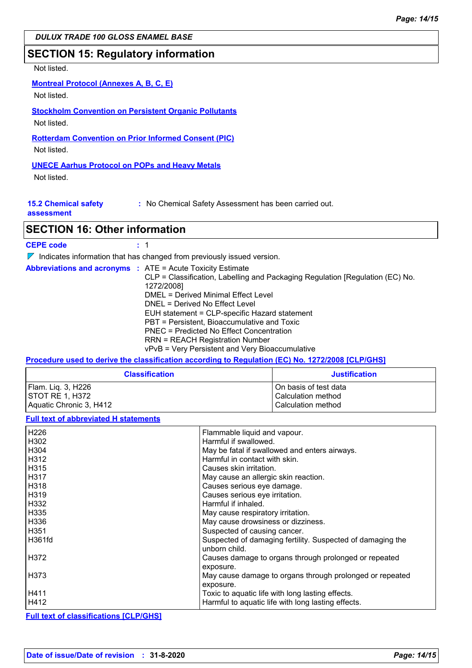*DULUX TRADE 100 GLOSS ENAMEL BASE*

### **SECTION 15: Regulatory information**

### Not listed.

### **Montreal Protocol (Annexes A, B, C, E)**

Not listed.

## **Stockholm Convention on Persistent Organic Pollutants**

Not listed.

**Rotterdam Convention on Prior Informed Consent (PIC)**

Not listed.

### **UNECE Aarhus Protocol on POPs and Heavy Metals**

Not listed.

**15.2 Chemical safety :** No Chemical Safety Assessment has been carried out.

#### **assessment**

### **SECTION 16: Other information**

| <b>CEPE code</b> |  |
|------------------|--|
|------------------|--|

 $\nabla$  Indicates information that has changed from previously issued version.

| <b>Abbreviations and acronyms : ATE = Acute Toxicity Estimate</b> |                                               | CLP = Classification, Labelling and Packaging Regulation [Regulation (EC) No.<br>1272/2008] |
|-------------------------------------------------------------------|-----------------------------------------------|---------------------------------------------------------------------------------------------|
|                                                                   |                                               | DMEL = Derived Minimal Effect Level                                                         |
|                                                                   |                                               | DNEL = Derived No Effect Level                                                              |
|                                                                   | EUH statement = CLP-specific Hazard statement |                                                                                             |
|                                                                   |                                               | PBT = Persistent, Bioaccumulative and Toxic                                                 |
|                                                                   |                                               | PNEC = Predicted No Effect Concentration                                                    |
|                                                                   |                                               | <b>RRN = REACH Registration Number</b>                                                      |
|                                                                   |                                               | vPvB = Very Persistent and Very Bioaccumulative                                             |

### **Procedure used to derive the classification according to Regulation (EC) No. 1272/2008 [CLP/GHS]**

| <b>Classification</b>   | <b>Justification</b>  |
|-------------------------|-----------------------|
| Flam. Lig. 3, H226      | On basis of test data |
| ISTOT RE 1. H372        | Calculation method    |
| Aquatic Chronic 3, H412 | Calculation method    |

#### **Full text of abbreviated H statements**

| H226   | Flammable liquid and vapour.                                                |
|--------|-----------------------------------------------------------------------------|
| H302   | Harmful if swallowed.                                                       |
| H304   | May be fatal if swallowed and enters airways.                               |
| H312   | Harmful in contact with skin.                                               |
| H315   | Causes skin irritation.                                                     |
| H317   | May cause an allergic skin reaction.                                        |
| l H318 | Causes serious eye damage.                                                  |
| H319   | Causes serious eye irritation.                                              |
| H332   | Harmful if inhaled.                                                         |
| H335   | May cause respiratory irritation.                                           |
| H336   | May cause drowsiness or dizziness.                                          |
| H351   | Suspected of causing cancer.                                                |
| H361fd | Suspected of damaging fertility. Suspected of damaging the<br>unborn child. |
| H372   | Causes damage to organs through prolonged or repeated<br>exposure.          |
| H373   | May cause damage to organs through prolonged or repeated<br>exposure.       |
| H411   | Toxic to aquatic life with long lasting effects.                            |
| H412   | Harmful to aquatic life with long lasting effects.                          |

### **Full text of classifications [CLP/GHS]**